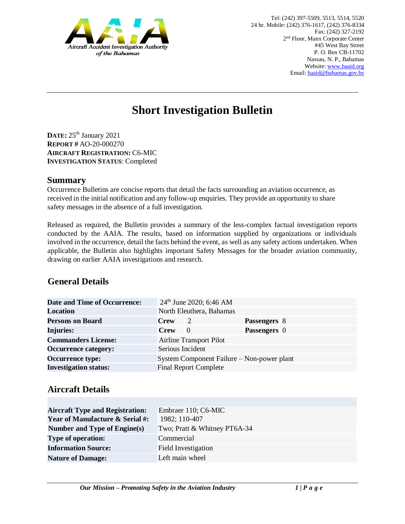

# **Short Investigation Bulletin**

**DATE:** 25<sup>th</sup> January 2021 **REPORT #** AO-20-000270 **AIRCRAFT REGISTRATION:** C6-MIC **INVESTIGATION STATUS**: Completed

#### **Summary**

Occurrence Bulletins are concise reports that detail the facts surrounding an aviation occurrence, as received in the initial notification and any follow-up enquiries. They provide an opportunity to share safety messages in the absence of a full investigation*.* 

Released as required, the Bulletin provides a summary of the less-complex factual investigation reports conducted by the AAIA. The results, based on information supplied by organizations or individuals involved in the occurrence, detail the facts behind the event, as well as any safety actions undertaken. When applicable, the Bulletin also highlights important Safety Messages for the broader aviation community, drawing on earlier AAIA investigations and research.

# **General Details**

| <b>Date and Time of Occurrence:</b> | $24th$ June 2020; 6:46 AM                  |                |                     |  |
|-------------------------------------|--------------------------------------------|----------------|---------------------|--|
| <b>Location</b>                     | North Eleuthera, Bahamas                   |                |                     |  |
| <b>Persons on Board</b>             | <b>Crew</b>                                | $\overline{2}$ | Passengers 8        |  |
| <b>Injuries:</b>                    | <b>Crew</b>                                | $\theta$       | <b>Passengers</b> 0 |  |
| <b>Commanders License:</b>          | <b>Airline Transport Pilot</b>             |                |                     |  |
| <b>Occurrence category:</b>         | Serious Incident                           |                |                     |  |
| <b>Occurrence type:</b>             | System Component Failure – Non-power plant |                |                     |  |
| <b>Investigation status:</b>        | <b>Final Report Complete</b>               |                |                     |  |

## **Aircraft Details**

| <b>Aircraft Type and Registration:</b><br><b>Year of Manufacture &amp; Serial #:</b> | Embraer 110; C6-MIC<br>1982; 110-407 |
|--------------------------------------------------------------------------------------|--------------------------------------|
| Number and Type of Engine(s)                                                         | Two; Pratt & Whitney PT6A-34         |
| <b>Type of operation:</b>                                                            | Commercial                           |
| <b>Information Source:</b>                                                           | <b>Field Investigation</b>           |
| <b>Nature of Damage:</b>                                                             | Left main wheel                      |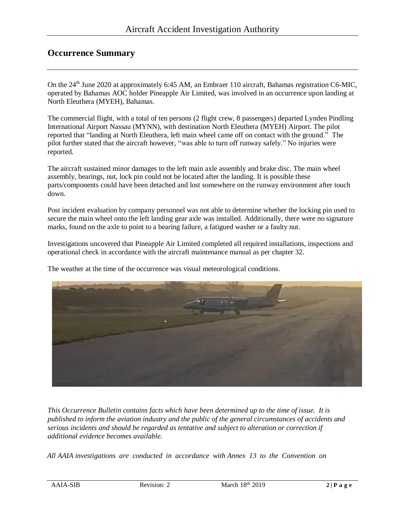## **Occurrence Summary**

On the 24<sup>th</sup> June 2020 at approximately 6:45 AM, an Embraer 110 aircraft, Bahamas registration C6-MIC, operated by Bahamas AOC holder Pineapple Air Limited, was involved in an occurrence upon landing at North Eleuthera (MYEH), Bahamas.

The commercial flight, with a total of ten persons (2 flight crew, 8 passengers) departed Lynden Pindling International Airport Nassau (MYNN), with destination North Eleuthera (MYEH) Airport. The pilot reported that "landing at North Eleuthera, left main wheel came off on contact with the ground." The pilot further stated that the aircraft however, "was able to turn off runway safely." No injuries were reported.

The aircraft sustained minor damages to the left main axle assembly and brake disc. The main wheel assembly, bearings, nut, lock pin could not be located after the landing. It is possible these parts/components could have been detached and lost somewhere on the runway environment after touch down.

Post incident evaluation by company personnel was not able to determine whether the locking pin used to secure the main wheel onto the left landing gear axle was installed. Additionally, there were no signature marks, found on the axle to point to a bearing failure, a fatigued washer or a faulty nut.

Investigations uncovered that Pineapple Air Limited completed all required installations, inspections and operational check in accordance with the aircraft maintenance manual as per chapter 32.

The weather at the time of the occurrence was visual meteorological conditions.



*This Occurrence Bulletin contains facts which have been determined up to the time of issue. It is published to inform the aviation industry and the public of the general circumstances of accidents and serious incidents and should be regarded as tentative and subject to alteration or correction if additional evidence becomes available.* 

*All AAIA investigations are conducted in accordance with Annex 13 to the Convention on*